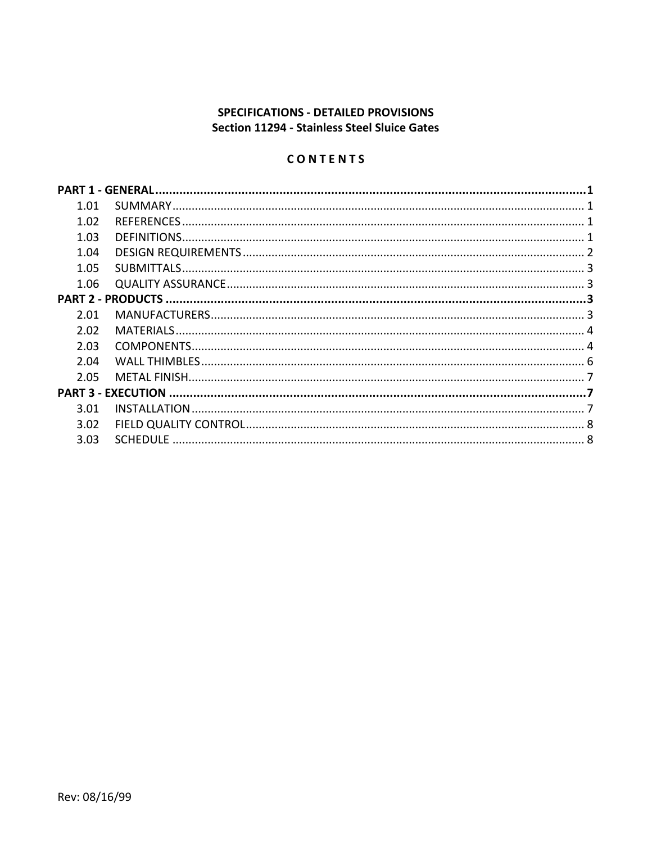# SPECIFICATIONS - DETAILED PROVISIONS Section 11294 - Stainless Steel Sluice Gates

# CONTENTS

| 1.01 |  |  |  |  |  |  |
|------|--|--|--|--|--|--|
| 1.02 |  |  |  |  |  |  |
| 1.03 |  |  |  |  |  |  |
| 1.04 |  |  |  |  |  |  |
| 1.05 |  |  |  |  |  |  |
| 1.06 |  |  |  |  |  |  |
|      |  |  |  |  |  |  |
| 2.01 |  |  |  |  |  |  |
| 2.02 |  |  |  |  |  |  |
| 2.03 |  |  |  |  |  |  |
| 2.04 |  |  |  |  |  |  |
| 2.05 |  |  |  |  |  |  |
|      |  |  |  |  |  |  |
| 3.01 |  |  |  |  |  |  |
| 3.02 |  |  |  |  |  |  |
| 3.03 |  |  |  |  |  |  |
|      |  |  |  |  |  |  |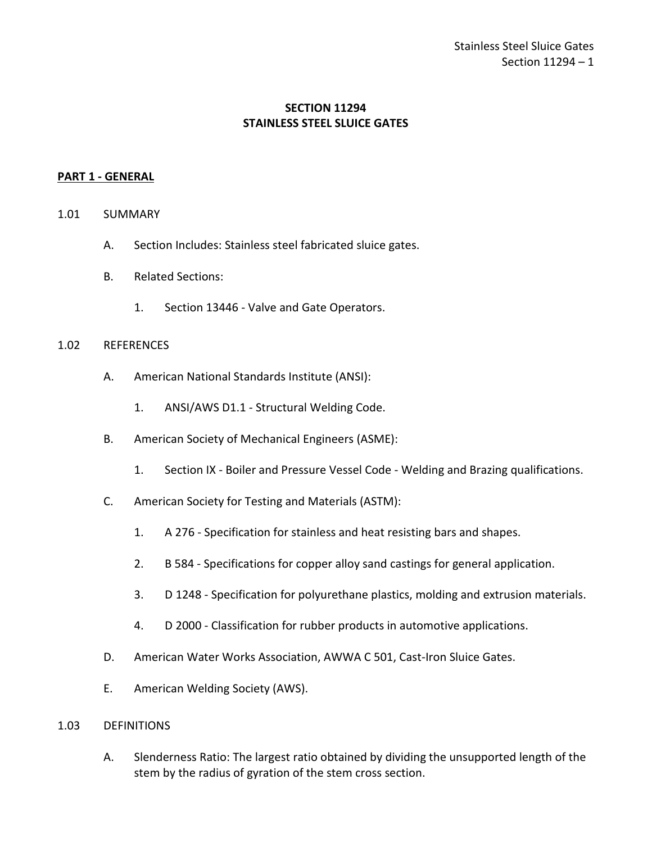# **SECTION 11294 STAINLESS STEEL SLUICE GATES**

### <span id="page-2-0"></span>**PART 1 - GENERAL**

- <span id="page-2-1"></span>1.01 SUMMARY
	- A. Section Includes: Stainless steel fabricated sluice gates.
	- B. Related Sections:
		- 1. Section 13446 Valve and Gate Operators.

#### <span id="page-2-2"></span>1.02 REFERENCES

- A. American National Standards Institute (ANSI):
	- 1. ANSI/AWS D1.1 Structural Welding Code.
- B. American Society of Mechanical Engineers (ASME):
	- 1. Section IX Boiler and Pressure Vessel Code Welding and Brazing qualifications.
- C. American Society for Testing and Materials (ASTM):
	- 1. A 276 Specification for stainless and heat resisting bars and shapes.
	- 2. B 584 Specifications for copper alloy sand castings for general application.
	- 3. D 1248 Specification for polyurethane plastics, molding and extrusion materials.
	- 4. D 2000 Classification for rubber products in automotive applications.
- D. American Water Works Association, AWWA C 501, Cast-Iron Sluice Gates.
- E. American Welding Society (AWS).

#### <span id="page-2-3"></span>1.03 DEFINITIONS

A. Slenderness Ratio: The largest ratio obtained by dividing the unsupported length of the stem by the radius of gyration of the stem cross section.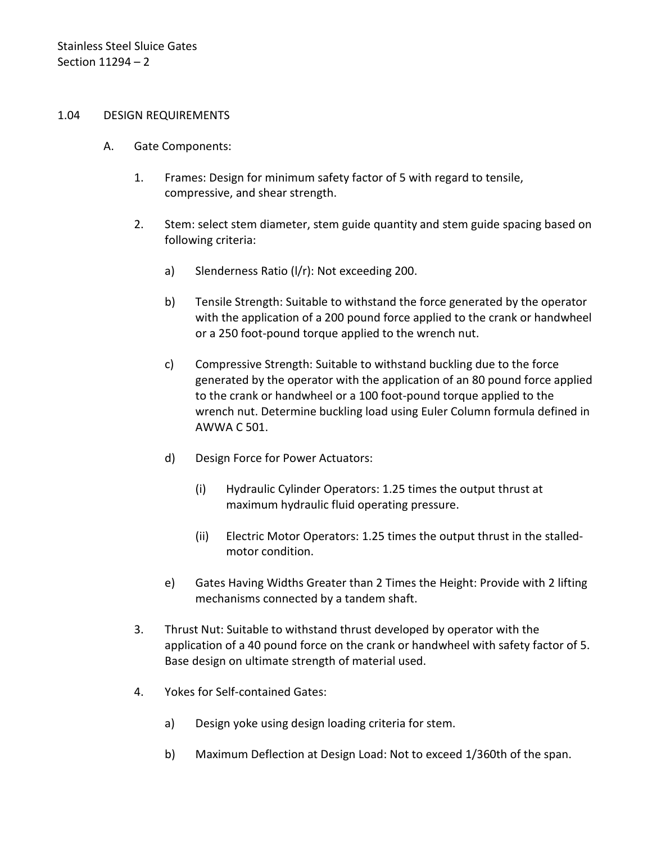#### <span id="page-3-0"></span>1.04 DESIGN REQUIREMENTS

- A. Gate Components:
	- 1. Frames: Design for minimum safety factor of 5 with regard to tensile, compressive, and shear strength.
	- 2. Stem: select stem diameter, stem guide quantity and stem guide spacing based on following criteria:
		- a) Slenderness Ratio (l/r): Not exceeding 200.
		- b) Tensile Strength: Suitable to withstand the force generated by the operator with the application of a 200 pound force applied to the crank or handwheel or a 250 foot-pound torque applied to the wrench nut.
		- c) Compressive Strength: Suitable to withstand buckling due to the force generated by the operator with the application of an 80 pound force applied to the crank or handwheel or a 100 foot-pound torque applied to the wrench nut. Determine buckling load using Euler Column formula defined in AWWA C 501.
		- d) Design Force for Power Actuators:
			- (i) Hydraulic Cylinder Operators: 1.25 times the output thrust at maximum hydraulic fluid operating pressure.
			- (ii) Electric Motor Operators: 1.25 times the output thrust in the stalledmotor condition.
		- e) Gates Having Widths Greater than 2 Times the Height: Provide with 2 lifting mechanisms connected by a tandem shaft.
	- 3. Thrust Nut: Suitable to withstand thrust developed by operator with the application of a 40 pound force on the crank or handwheel with safety factor of 5. Base design on ultimate strength of material used.
	- 4. Yokes for Self-contained Gates:
		- a) Design yoke using design loading criteria for stem.
		- b) Maximum Deflection at Design Load: Not to exceed 1/360th of the span.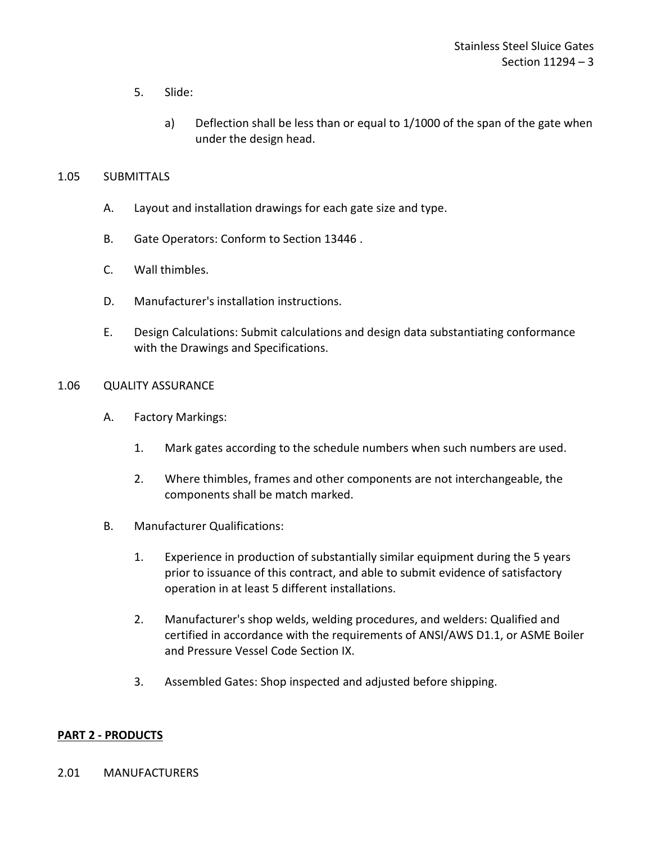- 5. Slide:
	- a) Deflection shall be less than or equal to 1/1000 of the span of the gate when under the design head.

### <span id="page-4-0"></span>1.05 SUBMITTALS

- A. Layout and installation drawings for each gate size and type.
- B. Gate Operators: Conform to Section 13446 .
- C. Wall thimbles.
- D. Manufacturer's installation instructions.
- E. Design Calculations: Submit calculations and design data substantiating conformance with the Drawings and Specifications.

### <span id="page-4-1"></span>1.06 QUALITY ASSURANCE

- A. Factory Markings:
	- 1. Mark gates according to the schedule numbers when such numbers are used.
	- 2. Where thimbles, frames and other components are not interchangeable, the components shall be match marked.
- B. Manufacturer Qualifications:
	- 1. Experience in production of substantially similar equipment during the 5 years prior to issuance of this contract, and able to submit evidence of satisfactory operation in at least 5 different installations.
	- 2. Manufacturer's shop welds, welding procedures, and welders: Qualified and certified in accordance with the requirements of ANSI/AWS D1.1, or ASME Boiler and Pressure Vessel Code Section IX.
	- 3. Assembled Gates: Shop inspected and adjusted before shipping.

### <span id="page-4-2"></span>**PART 2 - PRODUCTS**

#### <span id="page-4-3"></span>2.01 MANUFACTURERS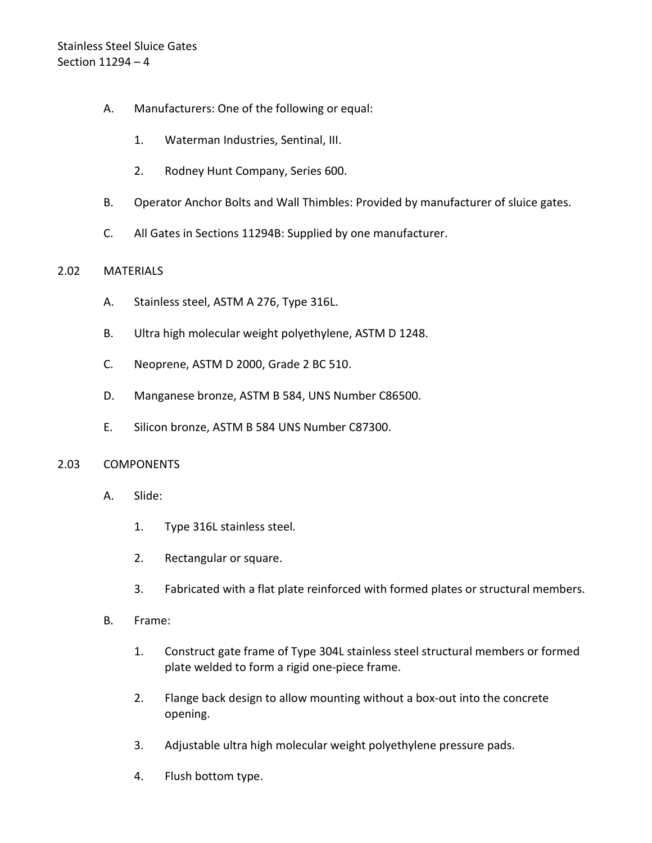# Stainless Steel Sluice Gates Section 11294 – 4

- A. Manufacturers: One of the following or equal:
	- 1. Waterman Industries, Sentinal, III.
	- 2. Rodney Hunt Company, Series 600.
- B. Operator Anchor Bolts and Wall Thimbles: Provided by manufacturer of sluice gates.
- C. All Gates in Sections 11294B: Supplied by one manufacturer.

### <span id="page-5-0"></span>2.02 MATERIALS

- A. Stainless steel, ASTM A 276, Type 316L.
- B. Ultra high molecular weight polyethylene, ASTM D 1248.
- C. Neoprene, ASTM D 2000, Grade 2 BC 510.
- D. Manganese bronze, ASTM B 584, UNS Number C86500.
- E. Silicon bronze, ASTM B 584 UNS Number C87300.

### <span id="page-5-1"></span>2.03 COMPONENTS

- A. Slide:
	- 1. Type 316L stainless steel.
	- 2. Rectangular or square.
	- 3. Fabricated with a flat plate reinforced with formed plates or structural members.
- B. Frame:
	- 1. Construct gate frame of Type 304L stainless steel structural members or formed plate welded to form a rigid one-piece frame.
	- 2. Flange back design to allow mounting without a box-out into the concrete opening.
	- 3. Adjustable ultra high molecular weight polyethylene pressure pads.
	- 4. Flush bottom type.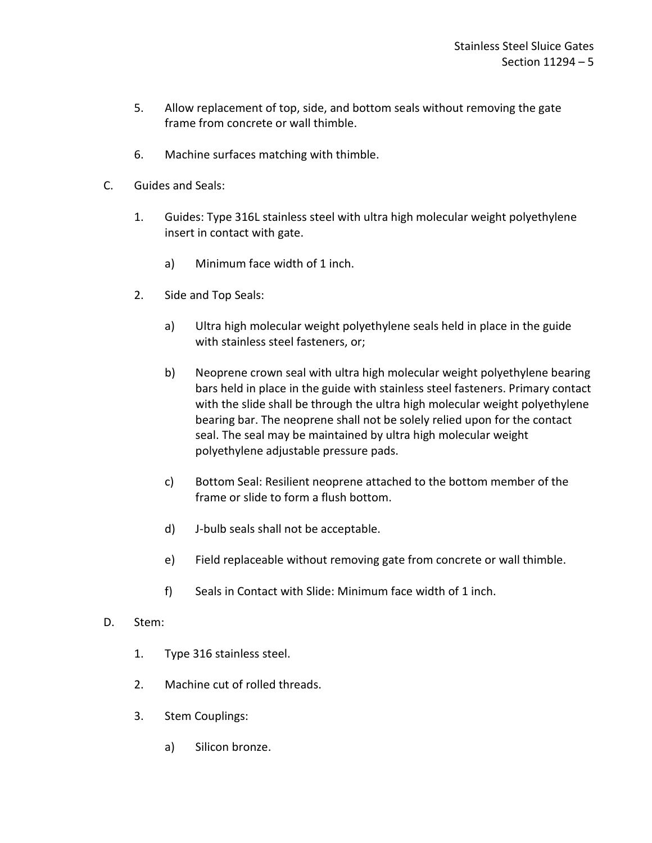- 5. Allow replacement of top, side, and bottom seals without removing the gate frame from concrete or wall thimble.
- 6. Machine surfaces matching with thimble.
- C. Guides and Seals:
	- 1. Guides: Type 316L stainless steel with ultra high molecular weight polyethylene insert in contact with gate.
		- a) Minimum face width of 1 inch.
	- 2. Side and Top Seals:
		- a) Ultra high molecular weight polyethylene seals held in place in the guide with stainless steel fasteners, or;
		- b) Neoprene crown seal with ultra high molecular weight polyethylene bearing bars held in place in the guide with stainless steel fasteners. Primary contact with the slide shall be through the ultra high molecular weight polyethylene bearing bar. The neoprene shall not be solely relied upon for the contact seal. The seal may be maintained by ultra high molecular weight polyethylene adjustable pressure pads.
		- c) Bottom Seal: Resilient neoprene attached to the bottom member of the frame or slide to form a flush bottom.
		- d) J-bulb seals shall not be acceptable.
		- e) Field replaceable without removing gate from concrete or wall thimble.
		- f) Seals in Contact with Slide: Minimum face width of 1 inch.
- D. Stem:
	- 1. Type 316 stainless steel.
	- 2. Machine cut of rolled threads.
	- 3. Stem Couplings:
		- a) Silicon bronze.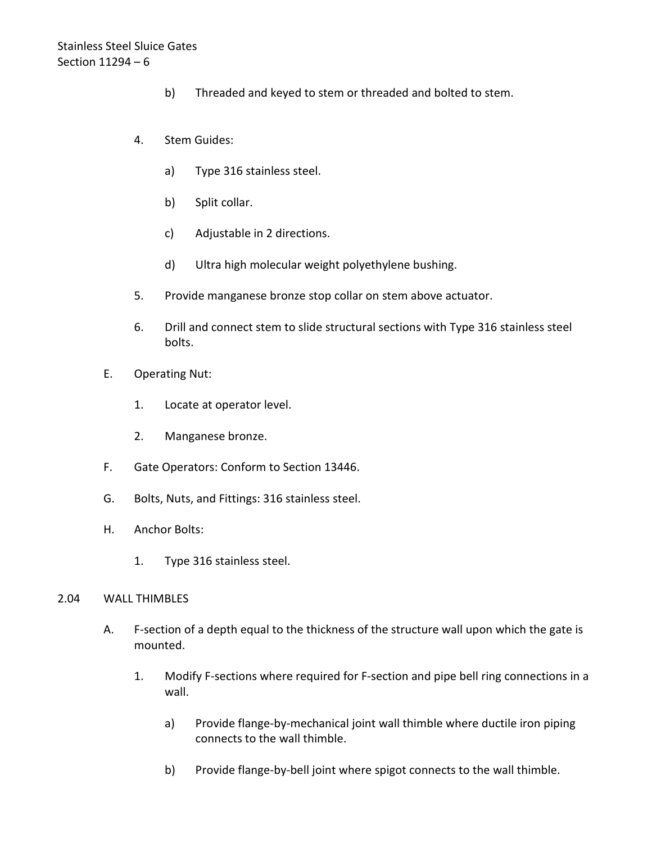- b) Threaded and keyed to stem or threaded and bolted to stem.
- 4. Stem Guides:
	- a) Type 316 stainless steel.
	- b) Split collar.
	- c) Adjustable in 2 directions.
	- d) Ultra high molecular weight polyethylene bushing.
- 5. Provide manganese bronze stop collar on stem above actuator.
- 6. Drill and connect stem to slide structural sections with Type 316 stainless steel bolts.
- E. Operating Nut:
	- 1. Locate at operator level.
	- 2. Manganese bronze.
- F. Gate Operators: Conform to Section 13446.
- G. Bolts, Nuts, and Fittings: 316 stainless steel.
- H. Anchor Bolts:
	- 1. Type 316 stainless steel.

#### <span id="page-7-0"></span>2.04 WALL THIMBLES

- A. F-section of a depth equal to the thickness of the structure wall upon which the gate is mounted.
	- 1. Modify F-sections where required for F-section and pipe bell ring connections in a wall.
		- a) Provide flange-by-mechanical joint wall thimble where ductile iron piping connects to the wall thimble.
		- b) Provide flange-by-bell joint where spigot connects to the wall thimble.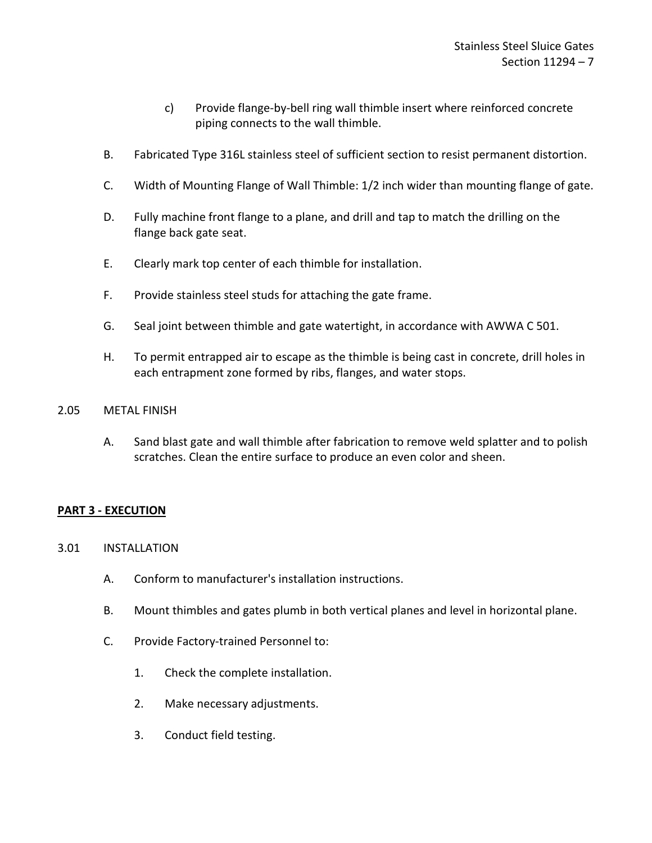- c) Provide flange-by-bell ring wall thimble insert where reinforced concrete piping connects to the wall thimble.
- B. Fabricated Type 316L stainless steel of sufficient section to resist permanent distortion.
- C. Width of Mounting Flange of Wall Thimble: 1/2 inch wider than mounting flange of gate.
- D. Fully machine front flange to a plane, and drill and tap to match the drilling on the flange back gate seat.
- E. Clearly mark top center of each thimble for installation.
- F. Provide stainless steel studs for attaching the gate frame.
- G. Seal joint between thimble and gate watertight, in accordance with AWWA C 501.
- H. To permit entrapped air to escape as the thimble is being cast in concrete, drill holes in each entrapment zone formed by ribs, flanges, and water stops.

### <span id="page-8-0"></span>2.05 METAL FINISH

A. Sand blast gate and wall thimble after fabrication to remove weld splatter and to polish scratches. Clean the entire surface to produce an even color and sheen.

# <span id="page-8-1"></span>**PART 3 - EXECUTION**

### <span id="page-8-2"></span>3.01 INSTALLATION

- A. Conform to manufacturer's installation instructions.
- B. Mount thimbles and gates plumb in both vertical planes and level in horizontal plane.
- C. Provide Factory-trained Personnel to:
	- 1. Check the complete installation.
	- 2. Make necessary adjustments.
	- 3. Conduct field testing.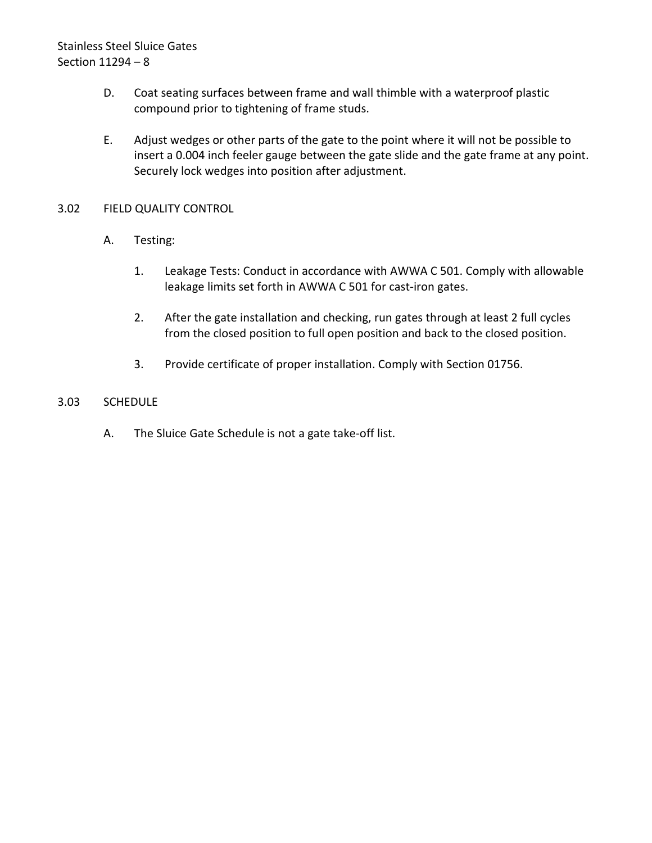# Stainless Steel Sluice Gates Section 11294 – 8

- D. Coat seating surfaces between frame and wall thimble with a waterproof plastic compound prior to tightening of frame studs.
- E. Adjust wedges or other parts of the gate to the point where it will not be possible to insert a 0.004 inch feeler gauge between the gate slide and the gate frame at any point. Securely lock wedges into position after adjustment.

### <span id="page-9-0"></span>3.02 FIELD QUALITY CONTROL

- A. Testing:
	- 1. Leakage Tests: Conduct in accordance with AWWA C 501. Comply with allowable leakage limits set forth in AWWA C 501 for cast-iron gates.
	- 2. After the gate installation and checking, run gates through at least 2 full cycles from the closed position to full open position and back to the closed position.
	- 3. Provide certificate of proper installation. Comply with Section 01756.

### <span id="page-9-1"></span>3.03 SCHEDULE

A. The Sluice Gate Schedule is not a gate take-off list.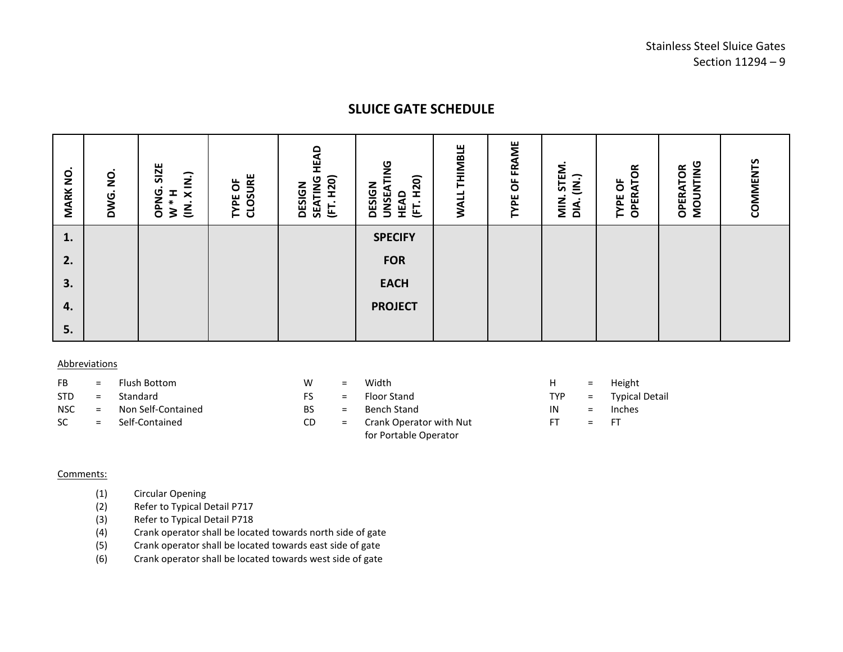# **SLUICE GATE SCHEDULE**

| $\dot{\mathsf{p}}$<br><b>MARK</b> | $\bullet$<br>g<br>DWG. | SIZE<br>$\dot{\mathbf{z}}$<br>OPNG.<br>I<br>$\boldsymbol{\times}$<br>$\star$<br>$\dot{\underline{\underline{\epsilon}}}$<br>3 | CLOSURE<br>ŏ<br>TYPE | HEAD<br>H <sub>20</sub><br>SEATING<br><b>DESIGN</b><br>$\blacksquare$<br>匡 | <b>UNSEATING</b><br>H <sub>20</sub><br><b>DESIGN</b><br>HEAD<br>$\bullet$<br>트 | <b>THIMBLE</b><br><b>WALL</b> | OF FRAME<br>TYPE | STEM.<br>$\overline{\mathsf{S}}$<br>$\frac{z}{\Sigma}$<br>$\sum_{i=1}^{n}$ | <b>OPERATOR</b><br>ŏ<br>TYPE | MOUNTING<br><b>OPERATOR</b> | COMMENTS |
|-----------------------------------|------------------------|-------------------------------------------------------------------------------------------------------------------------------|----------------------|----------------------------------------------------------------------------|--------------------------------------------------------------------------------|-------------------------------|------------------|----------------------------------------------------------------------------|------------------------------|-----------------------------|----------|
| 1.                                |                        |                                                                                                                               |                      |                                                                            | <b>SPECIFY</b>                                                                 |                               |                  |                                                                            |                              |                             |          |
| 2.                                |                        |                                                                                                                               |                      |                                                                            | <b>FOR</b>                                                                     |                               |                  |                                                                            |                              |                             |          |
| 3.                                |                        |                                                                                                                               |                      |                                                                            | <b>EACH</b>                                                                    |                               |                  |                                                                            |                              |                             |          |
| 4.                                |                        |                                                                                                                               |                      |                                                                            | <b>PROJECT</b>                                                                 |                               |                  |                                                                            |                              |                             |          |
| 5.                                |                        |                                                                                                                               |                      |                                                                            |                                                                                |                               |                  |                                                                            |                              |                             |          |

#### Abbreviations

- FB = Flush Bottom W = Width H = Height
- 
- NSC = Non Self-Contained BS = Bench Stand IN = Inches
- 
- 
- 
- 
- SC = Self-Contained CD = Crank Operator with Nut for Portable Operator
- 
- STD = Standard FS = Floor Stand TYP = Typical Detail
	-
	- $FT = FT$

#### Comments:

- (1) Circular Opening
- (2) Refer to Typical Detail P717<br>(3) Refer to Typical Detail P718
- Refer to Typical Detail P718
- (4) Crank operator shall be located towards north side of gate
- (5) Crank operator shall be located towards east side of gate
- (6) Crank operator shall be located towards west side of gate